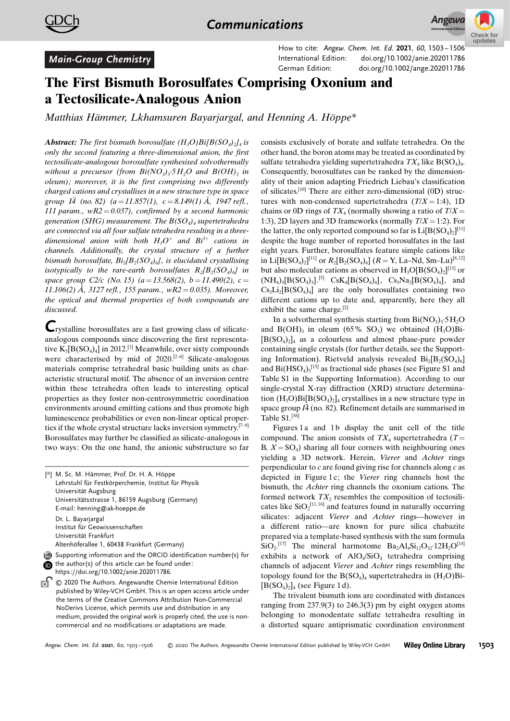

## Main-Group Chemistry

How to cite: Angew. Chem. Int. Ed. 2021, 60, 1503 – 1506 International Edition: doi.org/[10.1002/anie.202011786](http://dx.doi.org/10.1002/anie.202011786) German Edition: doi.org[/10.1002/ange.202011786](http://dx.doi.org/10.1002/ange.202011786)

## The First Bismuth Borosulfates Comprising Oxonium and a Tectosilicate-Analogous Anion

Matthias Hämmer, [Lkhamsuren Bayarjargal, and](http://orcid.org/0000-0002-5513-591X) Henning A. Höppe\*

**Abstract:** The first bismuth borosulfate  $(H_3O)Bi[BCSO_4)_2]_4$  is only the second featuring a three-dimensional anion, the first tectosilicate-analogous borosulfate synthesised solvothermally without a precursor (from  $Bi(NO_3)_3 \cdot 5H_2O$  and  $B(OH)_3$  in oleum); moreover, it is the first comprising two differently charged cations and crystallises in a new structure type in space group  $I\bar{4}$  (no. 82) (a = 11.857(1), c = 8.149(1)  $\AA$ , 1947 refl., 111 param.,  $wR2 = 0.037$ , confirmed by a second harmonic generation (SHG) measurement. The  $B(SO<sub>4</sub>)<sub>4</sub>$  supertetrahedra are connected via all four sulfate tetrahedra resulting in a threedimensional anion with both  $H_3O^+$  and  $Bt^{3+}$  cations in channels. Additionally, the crystal structure of a further bismuth borosulfate,  $Bi_2[B_2(SO_4)_6]$ , is elucidated crystallising isotypically to the rare-earth borosulfates  $R_2[B_2(SO_4)_6]$  in space group C2/c (No. 15)  $(a=13.568(2), b=11.490(2), c=$ 11.106(2) Å, 3127 refl., 155 param., wR2 = 0.035). Moreover, the optical and thermal properties of both compounds are discussed.

Crystalline borosulfates are a fast growing class of silicateanalogous compounds since discovering the first representative  $K_5[B(SO_4)_4]$  in 2012.<sup>[1]</sup> Meanwhile, over sixty compounds were characterised by mid of 2020.<sup>[2-6]</sup> Silicate-analogous materials comprise tetrahedral basic building units as characteristic structural motif. The absence of an inversion centre within these tetrahedra often leads to interesting optical properties as they foster non-centrosymmetric coordination environments around emitting cations and thus promote high luminescence probabilities or even non-linear optical properties if the whole crystal structure lacks inversion symmetry.[7–9] Borosulfates may further be classified as silicate-analogous in two ways: On the one hand, the anionic substructure so far

[\*] M. Sc. M. Hämmer, Prof. Dr. H. A. Höppe Lehrstuhl für Festkörperchemie, Institut für Physik Universität Augsburg Universitätsstrasse 1, 86159 Augsburg (Germany) E-mail: henning@ak-hoeppe.de

Dr. L. Bayarjargal Institut für Geowissenschaften Universität Frankfurt Altenhöferallee 1, 60438 Frankfurt (Germany)



the author(s) of this article can be found under: [https://doi.org/10.1002/anie.202011786.](https://doi.org/10.1002/anie.202011786)

<sup>2</sup> © 2020 The Authors. Angewandte Chemie International Edition published by Wiley-VCH GmbH. This is an open access article under the terms of the Creative Commons Attribution Non-Commercial NoDerivs License, which permits use and distribution in any medium, provided the original work is properly cited, the use is noncommercial and no modifications or adaptations are made.

consists exclusively of borate and sulfate tetrahedra. On the other hand, the boron atoms may be treated as coordinated by sulfate tetrahedra yielding supertetrahedra  $TX_4$  like B(SO<sub>4</sub>)<sub>4</sub>. Consequently, borosulfates can be ranked by the dimensionality of their anion adapting Friedrich Liebau's classification of silicates.[10] There are either zero-dimensional (0D) structures with non-condensed supertetrahedra  $(T/X = 1:4)$ , 1D chains or 0D rings of  $TX_4$  (normally showing a ratio of  $T/X =$ 1:3), 2D layers and 3D frameworks (normally  $T/X = 1:2$ ). For the latter, the only reported compound so far is  $Li[B(SO_4)_2]^{[11]}$ despite the huge number of reported borosulfates in the last eight years. Further, borosulfates feature simple cations like in Li[B(SO<sub>4</sub>)<sub>2</sub>]<sup>[11]</sup> or  $R_2$ [B<sub>2</sub>(SO<sub>4</sub>)<sub>6</sub>] ( $R = Y$ , La–Nd, Sm–Lu)<sup>[8,12]</sup> but also molecular cations as observed in  $H_3O[ B(SO_4)_2]^{[13]}$  or  $(NH_4)_3[B(SO_4)_3]$ .<sup>[5]</sup> CsK<sub>4</sub>[B(SO<sub>4</sub>)<sub>4</sub>], Cs<sub>3</sub>Na<sub>2</sub>[B(SO<sub>4</sub>)<sub>4</sub>], and  $Cs<sub>3</sub>Li<sub>2</sub>[B(SO<sub>4</sub>)<sub>4</sub>]$  are the only borosulfates containing two different cations up to date and, apparently, here they all exhibit the same charge.<sup>[2]</sup>

In a solvothermal synthesis starting from  $Bi(NO<sub>3</sub>)<sub>3</sub>·5H<sub>2</sub>O$ and  $B(OH)$ <sub>3</sub> in oleum (65% SO<sub>3</sub>) we obtained (H<sub>3</sub>O)Bi- $[B(SO<sub>4</sub>)<sub>2</sub>]$ <sub>4</sub> as a colourless and almost phase-pure powder containing single crystals (for further details, see the Supporting Information). Rietveld analysis revealed  $Bi_2[B_2(SO_4)_6]$ and  $Bi(HSO<sub>4</sub>)<sub>3</sub><sup>[15]</sup>$  as fractional side phases (see Figure S1 and Table S1 in the Supporting Information). According to our single-crystal X-ray diffraction (XRD) structure determination  $(H_3O)Bi[B(SO_4)_2]_4$  crystallises in a new structure type in space group  $I\bar{4}$  (no. 82). Refinement details are summarised in Table S1.[38]

Figures 1 a and 1b display the unit cell of the title compound. The anion consists of  $TX_4$  supertetrahedra (T= B,  $X = SO<sub>4</sub>$ ) sharing all four corners with neighbouring ones yielding a 3D network. Herein, Vierer and Achter rings perpendicular to  $c$  are found giving rise for channels along  $c$  as depicted in Figure 1c; the Vierer ring channels host the bismuth, the Achter ring channels the oxonium cations. The formed network  $TX_2$  resembles the composition of tectosilicates like  $SiO_2^{[11,16]}$  and features found in naturally occurring silicates: adjacent Vierer and Achter rings—however in a different ratio—are known for pure silica chabazite prepared via a template-based synthesis with the sum formula  $SiO_2$ <sup>[17]</sup> The mineral harmotome  $Ba_2Al_4Si_{12}O_{32}$  12H<sub>2</sub>O<sup>[14]</sup> exhibits a network of  $AIO<sub>4</sub>/SiO<sub>4</sub>$  tetrahedra comprising channels of adjacent Vierer and Achter rings resembling the topology found for the  $B(SO<sub>4</sub>)<sub>4</sub>$  supertetrahedra in  $(H<sub>3</sub>O)Bi [B(SO_4)_2]_4$  (see Figure 1 d).

The trivalent bismuth ions are coordinated with distances ranging from 237.9(3) to 246.3(3) pm by eight oxygen atoms belonging to monodentate sulfate tetrahedra resulting in a distorted square antiprismatic coordination environment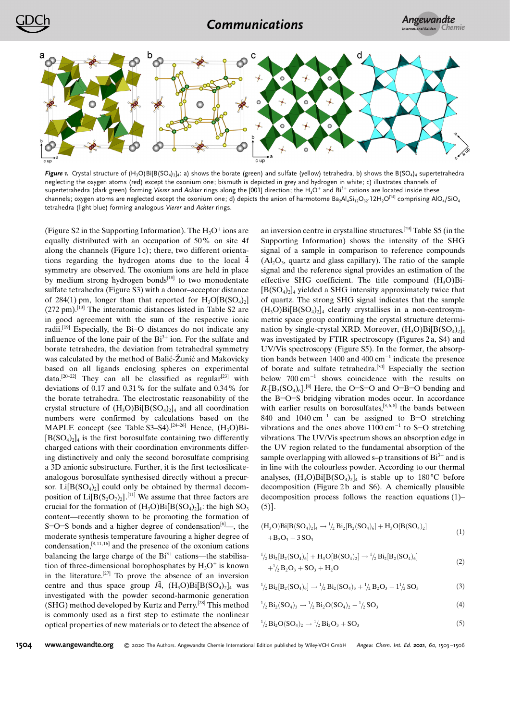

Figure 1. Crystal structure of  $(H_3O)B[B(SO_4)_2]_4$ : a) shows the borate (green) and sulfate (yellow) tetrahedra, b) shows the B(SO<sub>4</sub>)<sub>4</sub> supertetrahedra neglecting the oxygen atoms (red) except the oxonium one; bismuth is depicted in grey and hydrogen in white; c) illustrates channels of supertetrahedra (dark green) forming Vierer and Achter rings along the [001] direction; the H<sub>3</sub>O<sup>+</sup> and Bi<sup>3+</sup> cations are located inside these channels; oxygen atoms are neglected except the oxonium one; d) depicts the anion of harmotome  $Ba_2Al_4Si_{12}O_{32}$ <sup>1</sup>2H<sub>2</sub>O<sup>[14]</sup> comprising AlO<sub>4</sub>/SiO<sub>4</sub> tetrahedra (light blue) forming analogous Vierer and Achter rings.

(Figure S2 in the Supporting Information). The  $H_3O^+$  ions are equally distributed with an occupation of 50% on site 4f along the channels (Figure 1c); there, two different orientations regarding the hydrogen atoms due to the local  $\overline{4}$ symmetry are observed. The oxonium ions are held in place by medium strong hydrogen bonds $^{[18]}$  to two monodentate sulfate tetrahedra (Figure S3) with a donor–acceptor distance of 284(1) pm, longer than that reported for  $H_3O[ B(SO_4)_2]$  $(272 \text{ pm})$ .<sup>[13]</sup> The interatomic distances listed in Table S2 are in good agreement with the sum of the respective ionic radii.[19] Especially, the Bi–O distances do not indicate any influence of the lone pair of the  $Bi^{3+}$  ion. For the sulfate and borate tetrahedra, the deviation from tetrahedral symmetry was calculated by the method of Balić-Žunić and Makovicky based on all ligands enclosing spheres on experimental data.<sup>[20-22]</sup> They can all be classified as regular<sup>[23]</sup> with deviations of 0.17 and 0.31% for the sulfate and 0.34% for the borate tetrahedra. The electrostatic reasonability of the crystal structure of  $(H_3O)Bi[B(SO_4)_2]_4$  and all coordination numbers were confirmed by calculations based on the MAPLE concept (see Table  $S3-S4$ ).<sup>[24–26]</sup> Hence,  $(H<sub>2</sub>O)Bi [B(SO_4)_2]_4$  is the first borosulfate containing two differently charged cations with their coordination environments differing distinctively and only the second borosulfate comprising a 3D anionic substructure. Further, it is the first tectosilicateanalogous borosulfate synthesised directly without a precursor.  $Li[B(SO<sub>4</sub>)<sub>2</sub>]$  could only be obtained by thermal decomposition of  $Li[B(S_2O_7)_2]$ .<sup>[11]</sup> We assume that three factors are crucial for the formation of  $(H_3O)Bi[B(SO_4)_2]_4$ : the high SO<sub>3</sub> content—recently shown to be promoting the formation of S-O-S bonds and a higher degree of condensation<sup>[6]</sup>—, the moderate synthesis temperature favouring a higher degree of condensation, $[8,11,16]$  and the presence of the oxonium cations balancing the large charge of the  $Bi^{3+}$  cations—the stabilisation of three-dimensional borophosphates by  $H_3O^+$  is known in the literature.[27] To prove the absence of an inversion centre and thus space group  $I\bar{4}$ ,  $(H_3O)Bi[B(SO_4)_2]_4$  was investigated with the powder second-harmonic generation (SHG) method developed by Kurtz and Perry.[28] This method is commonly used as a first step to estimate the nonlinear optical properties of new materials or to detect the absence of an inversion centre in crystalline structures.[29] Table S5 (in the Supporting Information) shows the intensity of the SHG signal of a sample in comparison to reference compounds  $(A<sub>2</sub>O<sub>3</sub>$ , quartz and glass capillary). The ratio of the sample signal and the reference signal provides an estimation of the effective SHG coefficient. The title compound  $(H_3O)Bi [B(SO<sub>4</sub>)<sub>2</sub>]$ <sub>4</sub> yielded a SHG intensity approximately twice that of quartz. The strong SHG signal indicates that the sample  $(H_3O)Bi[B(SO_4)_2]_4$  clearly crystallises in a non-centrosymmetric space group confirming the crystal structure determination by single-crystal XRD. Moreover,  $(H_3O)Bi[BCSO_4)_2]_4$ was investigated by FTIR spectroscopy (Figures 2 a, S4) and UV/Vis spectroscopy (Figure S5). In the former, the absorption bands between  $1400$  and  $400 \text{ cm}^{-1}$  indicate the presence of borate and sulfate tetrahedra.[30] Especially the section below  $700 \text{ cm}^{-1}$  shows coincidence with the results on  $R_2[B_2(SO_4)_6]$ .<sup>[8]</sup> Here, the O-S-O and O-B-O bending and the B-O-S bridging vibration modes occur. In accordance with earlier results on borosulfates, $[3, 6, 8]$  the bands between 840 and  $1040 \text{ cm}^{-1}$  can be assigned to B-O stretching vibrations and the ones above  $1100 \text{ cm}^{-1}$  to S-O stretching vibrations. The UV/Vis spectrum shows an absorption edge in the UV region related to the fundamental absorption of the sample overlapping with allowed s–p transitions of  $Bi^{3+}$  and is in line with the colourless powder. According to our thermal analyses,  $(H_3O)Bi[B(SO_4)_2]_4$  is stable up to 180 °C before decomposition (Figure 2b and S6). A chemically plausible decomposition process follows the reaction equations (1)–  $(5)$ ].

$$
(H_3O)Bi[B(SO_4)_2]_4 \rightarrow \frac{1}{2}Bi_2[B_2(SO_4)_6] + H_3O[B(SO_4)_2] + B_2O_3 + 3SO_3
$$
\n(1)

$$
{}^{1/2}_{2} \text{Bi}_{2}[\text{B}_{2}(SO_{4})_{6}] + \text{H}_{3}\text{O}[\text{B}(SO_{4})_{2}] \rightarrow {}^{1/2}_{2} \text{Bi}_{2}[\text{B}_{2}(SO_{4})_{6}] +{}^{1/2}_{2} \text{B}_{2}\text{O}_{3} + \text{SO}_{3} + \text{H}_{2}\text{O}
$$
\n(2)

$$
{}^{1}/_{2} Bi_{2}[B_{2}(SO_{4})_{6}] \rightarrow {}^{1}/_{2} Bi_{2}(SO_{4})_{3} + {}^{1}/_{2} B_{2} O_{3} + 1{}^{1}/_{2} SO_{3}
$$
(3)

$$
^{1}/_{2} Bi_{2}(SO_{4})_{3} \rightarrow {}^{1}/_{2} Bi_{2}O(SO_{4})_{2} + {}^{1}/_{2} SO_{3}
$$
\n(4)

$$
^{1}/_{2} \text{Bi}_{2} \text{O}(\text{SO}_{4})_{2} \rightarrow {}^{1}/_{2} \text{Bi}_{2} \text{O}_{3} + \text{SO}_{3} \tag{5}
$$

1504 [www.angewandte.org](http://www.angewandte.org) © 2020 The Authors. Angewandte Chemie International Edition published by Wiley-VCH GmbH Angew. Chem. Int. Ed. 2021, 60, 1503–1506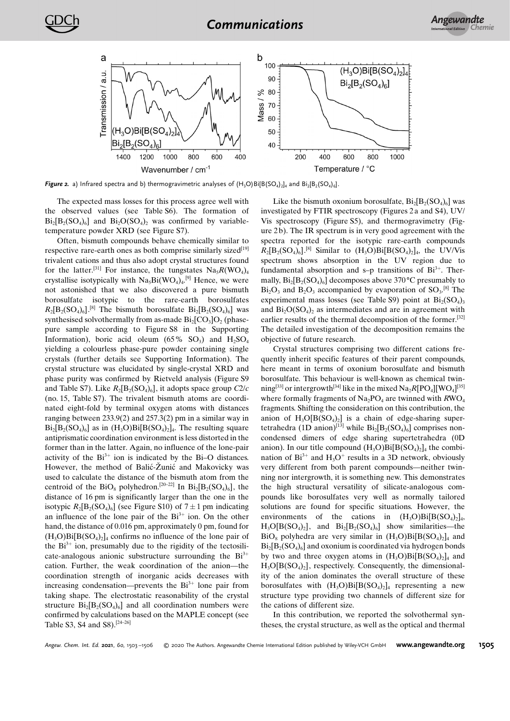

Figure 2. a) Infrared spectra and b) thermogravimetric analyses of  $(H_3O)Bi[B(SO_4)_4]$  and  $Bi_2[B_2(SO_4)_6]$ .

The expected mass losses for this process agree well with the observed values (see Table S6). The formation of  $Bi_2[B_2(SO_4)_6]$  and  $Bi_2O(SO_4)$ , was confirmed by variabletemperature powder XRD (see Figure S7).

Often, bismuth compounds behave chemically similar to respective rare-earth ones as both comprise similarly sized<sup>[19]</sup> trivalent cations and thus also adopt crystal structures found for the latter.<sup>[31]</sup> For instance, the tungstates  $\text{Na}_5R(\text{WO}_4)_4$ crystallise isotypically with  $Na<sub>5</sub>Bi(WO<sub>4</sub>)<sub>4</sub>$ .<sup>[9]</sup> Hence, we were not astonished that we also discovered a pure bismuth borosulfate isotypic to the rare-earth borosulfates  $R_2[B_2(SO_4)_6]$ .<sup>[8]</sup> The bismuth borosulfate  $Bi_2[B_2(SO_4)_6]$  was synthesised solvothermally from as-made  $Bi<sub>2</sub>[CO<sub>3</sub>]O<sub>2</sub>$  (phasepure sample according to Figure S8 in the Supporting Information), boric acid oleum (65% SO<sub>3</sub>) and  $H_2SO_4$ yielding a colourless phase-pure powder containing single crystals (further details see Supporting Information). The crystal structure was elucidated by single-crystal XRD and phase purity was confirmed by Rietveld analysis (Figure S9 and Table S7). Like  $R_2[B_2(SO_4)_6]$ , it adopts space group  $C_2/c$ (no. 15, Table S7). The trivalent bismuth atoms are coordinated eight-fold by terminal oxygen atoms with distances ranging between 233.9(2) and 257.3(2) pm in a similar way in  $Bi_2[B_2SO_4)_6]$  as in  $(H_3O)Bi[B(SO_4)_2]_4$ . The resulting square antiprismatic coordination environment is less distorted in the former than in the latter. Again, no influence of the lone-pair activity of the  $Bi^{3+}$  ion is indicated by the  $Bi-O$  distances. However, the method of Balić-Žunić and Makovicky was used to calculate the distance of the bismuth atom from the centroid of the  $BiO_8$  polyhedron.<sup>[20–22]</sup> In  $Bi_2[SO_4)_6$ ], the distance of 16 pm is significantly larger than the one in the isotypic  $R_2[B_2(SO_4)_6]$  (see Figure S10) of  $7 \pm 1$  pm indicating an influence of the lone pair of the  $Bi^{3+}$  ion. On the other hand, the distance of 0.016 pm, approximately 0 pm, found for  $(H_3O)Bi[B(SO_4)_2]$ <sub>4</sub> confirms no influence of the lone pair of the  $Bi^{3+}$  ion, presumably due to the rigidity of the tectosilicate-analogous anionic substructure surrounding the  $Bi^{3+}$ cation. Further, the weak coordination of the anion—the coordination strength of inorganic acids decreases with increasing condensation—prevents the  $Bi^{3+}$  lone pair from taking shape. The electrostatic reasonability of the crystal structure  $Bi_2[SO_4]_6$ ] and all coordination numbers were confirmed by calculations based on the MAPLE concept (see Table S3, S4 and S8).[24–26]

Like the bismuth oxonium borosulfate,  $Bi_2[B_2(SO_4)_6]$  was investigated by FTIR spectroscopy (Figures 2 a and S4), UV/ Vis spectroscopy (Figure S5), and thermogravimetry (Figure 2 b). The IR spectrum is in very good agreement with the spectra reported for the isotypic rare-earth compounds  $R_2[B_2(SO_4)_6]$ .<sup>[8]</sup> Similar to  $(H_3O)Bi[B(SO_4)_2]_4$ , the UV/Vis spectrum shows absorption in the UV region due to fundamental absorption and s–p transitions of  $Bi^{3+}$ . Thermally,  $Bi_2[B_2(SO_4)_6]$  decomposes above 370 °C presumably to  $Bi<sub>2</sub>O<sub>3</sub>$  and  $B<sub>2</sub>O<sub>3</sub>$  accompanied by evaporation of SO<sub>3</sub>.<sup>[8]</sup> The experimental mass losses (see Table S9) point at  $Bi_2(SO_4)$ <sub>3</sub> and  $Bi<sub>2</sub>O(SO<sub>4</sub>)$ , as intermediates and are in agreement with earlier results of the thermal decomposition of the former.[32] The detailed investigation of the decomposition remains the objective of future research.

Crystal structures comprising two different cations frequently inherit specific features of their parent compounds, here meant in terms of oxonium borosulfate and bismuth borosulfate. This behaviour is well-known as chemical twinning<sup>[33]</sup> or intergrowth<sup>[34]</sup> like in the mixed  $\text{Na}_2R[\text{PO}_4][\text{WO}_4]^{[35]}$ where formally fragments of  $Na<sub>2</sub>PO<sub>4</sub>$  are twinned with  $RWO<sub>4</sub>$ fragments. Shifting the consideration on this contribution, the anion of  $H_3O[ B(SO_4)_2 ]$  is a chain of edge-sharing supertetrahedra (1D anion)<sup>[13]</sup> while  $Bi_2[B_2(SO_4)_6]$  comprises noncondensed dimers of edge sharing supertetrahedra (0D anion). In our title compound  $(H_3O)Bi[B(SO_4)_2]_4$  the combination of  $Bi^{3+}$  and  $H_3O^+$  results in a 3D network, obviously very different from both parent compounds—neither twinning nor intergrowth, it is something new. This demonstrates the high structural versatility of silicate-analogous compounds like borosulfates very well as normally tailored solutions are found for specific situations. However, the environments of the cations in  $(H_3O)Bi[BCSO<sub>4</sub>)<sub>2</sub>]$  $H_3O[B(SO_4)_2]$ , and  $Bi_2[B_2(SO_4)_6]$  show similarities—the  $BiO_8$  polyhedra are very similar in  $(H_3O)Bi[ B(SO_4)_2]_4$  and  $Bi_2[B_2(SO_4)_6]$  and oxonium is coordinated via hydrogen bonds by two and three oxygen atoms in  $(H_3O)Bi[ B(SO_4)_2]_4$  and  $H_3O[B(SO_4)_2]$ , respectively. Consequently, the dimensionality of the anion dominates the overall structure of these borosulfates with  $(H_3O)Bi[B(SO_4)_2]_4$  representing a new structure type providing two channels of different size for the cations of different size.

In this contribution, we reported the solvothermal syntheses, the crystal structure, as well as the optical and thermal